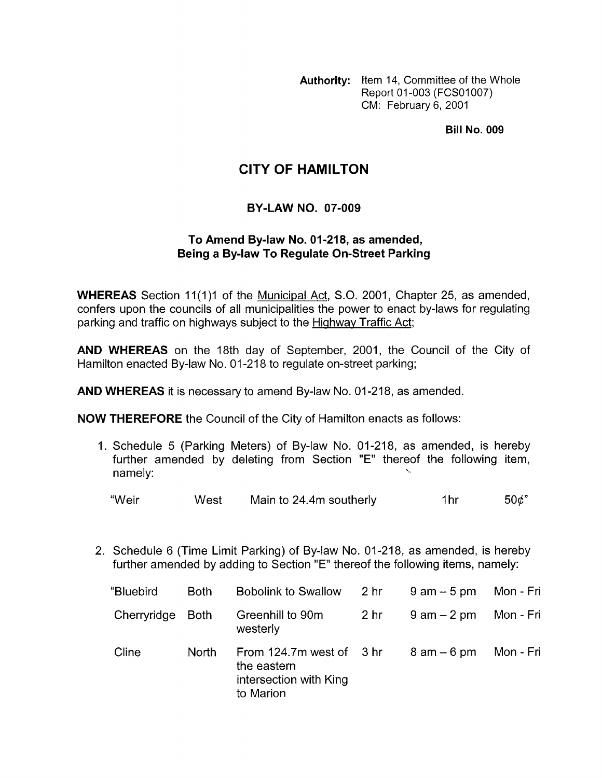**Authority:** Item 14, Committee of the Whole Report 01-003 (FCS01007) CM: February 6, 2001

**Bill No. 009** 

## **CITY OF HAMILTON**

## **BY-LAW NO. 07-009**

## **To Amend Bylaw No. 01-218, as amended, Being a Bylaw To Regulate On-Street Parking**

**WHEREAS** Section 11(1)1 of the Municipal Act, S.O. 2001, Chapter 25, as amended, confers upon the councils of all municipalities the power to enact by-laws for regulating parking and traffic on highways subject to the Highway Traffic Act;

**AND WHEREAS** on the 18th day of September, 2001, the Council of the City of Hamilton enacted By-law No. 01-218 to regulate on-street parking;

**AND WHEREAS** it is necessary to amend By-law No. 01-218, as amended.

**NOW THEREFORE** the Council of the City of Hamilton enacts as follows:

1. Schedule 5 (Parking Meters) of By-law No. 01-218, as amended, is hereby further amended by deleting from Section "E" thereof the following item, namely:

"Weir West Main to 24.4m southerly  $1$ hr 50 $\phi$ "

2. Schedule 6 (Time Limit Parking) of By-law No. 01-218, as amended, is hereby further amended by adding to Section "E" thereof the following items, namely:

| "Bluebird   | <b>Both</b> | <b>Bobolink to Swallow</b>                                                     | 2 hr            | $9$ am $-5$ pm | Mon - Fri |
|-------------|-------------|--------------------------------------------------------------------------------|-----------------|----------------|-----------|
| Cherryridge | Both        | Greenhill to 90m<br>westerly                                                   | 2 <sub>hr</sub> | $9$ am $-2$ pm | Mon - Fri |
| Cline       | North       | From 124.7m west of 3 hr<br>the eastern<br>intersection with King<br>to Marion |                 | $8$ am $-6$ pm | Mon - Fri |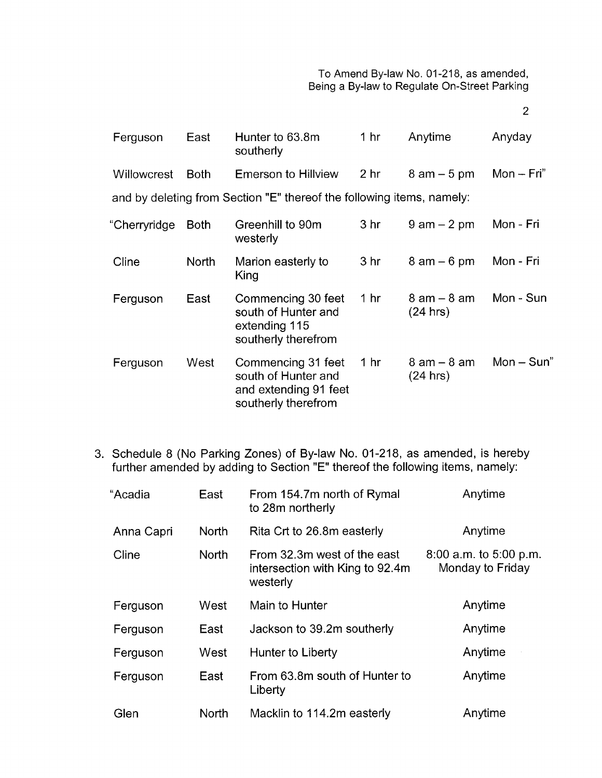2

| Ferguson           | East         | Hunter to 63.8m<br>southerly                                                              | 1 <sub>hr</sub> | Anytime                     | Anyday       |
|--------------------|--------------|-------------------------------------------------------------------------------------------|-----------------|-----------------------------|--------------|
| <b>Willowcrest</b> | <b>Both</b>  | <b>Emerson to Hillview</b>                                                                | 2 <sub>hr</sub> | $8$ am $-5$ pm              | $Mon - Fri'$ |
|                    |              | and by deleting from Section "E" thereof the following items, namely:                     |                 |                             |              |
| "Cherryridge       | <b>Both</b>  | Greenhill to 90m<br>westerly                                                              | 3 <sub>hr</sub> | $9$ am $-2$ pm              | Mon - Fri    |
| Cline              | <b>North</b> | Marion easterly to<br>King                                                                | 3 <sub>hr</sub> | $8$ am $-6$ pm              | Mon - Fri    |
| Ferguson           | East         | Commencing 30 feet<br>south of Hunter and<br>extending 115<br>southerly therefrom         | 1 <sub>hr</sub> | $8$ am $-8$ am<br>(24 hrs)  | Mon - Sun    |
| Ferguson           | West         | Commencing 31 feet<br>south of Hunter and<br>and extending 91 feet<br>southerly therefrom | 1 <sub>hr</sub> | $8$ am $-$ 8 am<br>(24 hrs) | $Mon-Sun"$   |

3. Schedule 8 (No Parking Zones) of By-law No. 01-218, as amended, is hereby further amended by adding to Section "E" thereof the following items, namely:

| "Acadia    | East         | From 154.7m north of Rymal<br>to 28m northerly                             | Anytime                                    |
|------------|--------------|----------------------------------------------------------------------------|--------------------------------------------|
| Anna Capri | <b>North</b> | Rita Crt to 26.8m easterly                                                 | Anytime                                    |
| Cline      | <b>North</b> | From 32.3m west of the east<br>intersection with King to 92.4m<br>westerly | 8:00 a.m. to 5:00 p.m.<br>Monday to Friday |
| Ferguson   | West         | Main to Hunter                                                             | Anytime                                    |
| Ferguson   | East         | Jackson to 39.2m southerly                                                 | Anytime                                    |
| Ferguson   | West         | Hunter to Liberty                                                          | Anytime                                    |
| Ferguson   | East         | From 63.8m south of Hunter to<br>Liberty                                   | Anytime                                    |
| Glen       | North        | Macklin to 114.2m easterly                                                 | Anytime                                    |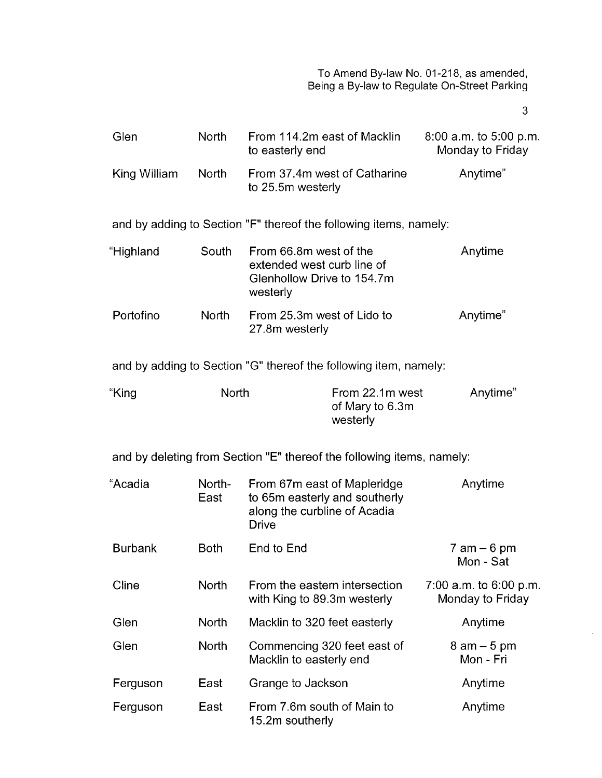**3** 

| Glen           | <b>North</b>   | From 114.2m east of Macklin<br>to easterly end                                                               |                                                                       | $8:00$ a.m. to $5:00$ p.m.<br>Monday to Friday |
|----------------|----------------|--------------------------------------------------------------------------------------------------------------|-----------------------------------------------------------------------|------------------------------------------------|
| King William   | <b>North</b>   | From 37.4m west of Catharine<br>to 25.5m westerly                                                            |                                                                       | Anytime"                                       |
|                |                |                                                                                                              | and by adding to Section "F" thereof the following items, namely:     |                                                |
| "Highland      | South          | From 66.8m west of the<br>extended west curb line of<br>Glenhollow Drive to 154.7m<br>westerly               |                                                                       | Anytime                                        |
| Portofino      | <b>North</b>   | From 25.3m west of Lido to<br>27.8m westerly                                                                 |                                                                       | Anytime"                                       |
|                |                |                                                                                                              | and by adding to Section "G" thereof the following item, namely:      |                                                |
| "King          | North          |                                                                                                              | From 22.1m west<br>of Mary to 6.3m<br>westerly                        | Anytime"                                       |
|                |                |                                                                                                              | and by deleting from Section "E" thereof the following items, namely: |                                                |
| "Acadia        | North-<br>East | From 67m east of Mapleridge<br>to 65m easterly and southerly<br>along the curbline of Acadia<br><b>Drive</b> |                                                                       | Anytime                                        |
| <b>Burbank</b> | <b>Both</b>    | End to End                                                                                                   |                                                                       | $7$ am $-6$ pm<br>Mon - Sat                    |
| Cline          | North          | From the eastern intersection<br>with King to 89.3m westerly                                                 |                                                                       | $7:00$ a.m. to 6:00 p.m.<br>Monday to Friday   |
| Glen           | North          | Macklin to 320 feet easterly                                                                                 |                                                                       | Anytime                                        |
| Glen           | North          | Commencing 320 feet east of<br>Macklin to easterly end                                                       |                                                                       | $8$ am $-5$ pm<br>Mon - Fri                    |
| Ferguson       | East           | Grange to Jackson                                                                                            |                                                                       | Anytime                                        |
| Ferguson       | East           | From 7.6m south of Main to<br>15.2m southerly                                                                |                                                                       | Anytime                                        |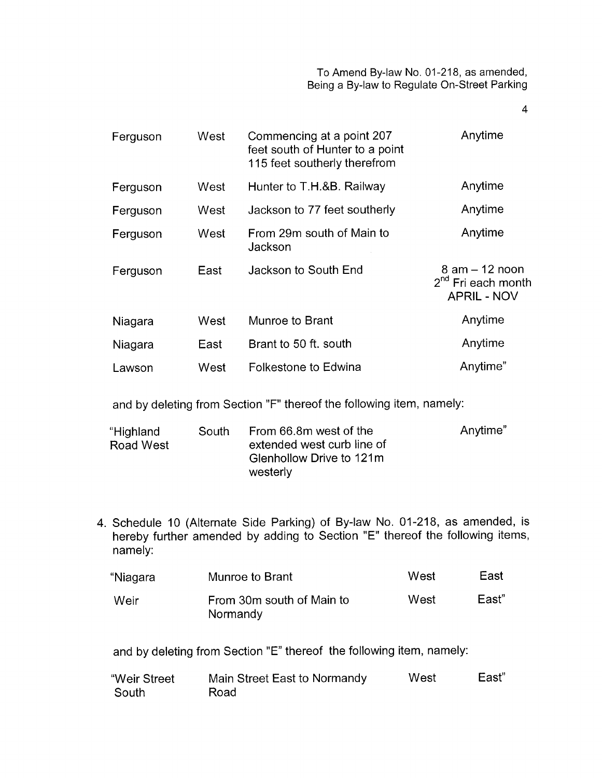**4** 

| Ferguson | West | Commencing at a point 207<br>feet south of Hunter to a point<br>115 feet southerly therefrom | Anytime                                                            |
|----------|------|----------------------------------------------------------------------------------------------|--------------------------------------------------------------------|
| Ferguson | West | Hunter to T.H.&B. Railway                                                                    | Anytime                                                            |
| Ferguson | West | Jackson to 77 feet southerly                                                                 | Anytime                                                            |
| Ferguson | West | From 29m south of Main to<br>Jackson                                                         | Anytime                                                            |
| Ferguson | East | Jackson to South End                                                                         | $8$ am $-12$ noon<br>$2^{nd}$ Fri each month<br><b>APRIL - NOV</b> |
| Niagara  | West | Munroe to Brant                                                                              | Anytime                                                            |
| Niagara  | East | Brant to 50 ft. south                                                                        | Anytime                                                            |
| Lawson   | West | Folkestone to Edwina                                                                         | Anytime"                                                           |

and by deleting from Section "F" thereof the following item, namely:

| "Highland<br>Road West | South | From 66.8m west of the<br>extended west curb line of | Anytime" |
|------------------------|-------|------------------------------------------------------|----------|
|                        |       | Glenhollow Drive to 121m                             |          |
|                        |       | westerly                                             |          |

4. Schedule 10 (Alternate Side Parking) of By-law No. 01-218, as amended, is hereby further amended by adding to Section "E" thereof the following items, namely:

| "Niagara | Munroe to Brant                       | West | East  |
|----------|---------------------------------------|------|-------|
| Weir     | From 30m south of Main to<br>Normandy | West | East" |

and by deleting from Section "E" thereof the following item, namely:

| "Weir Street | Main Street East to Normandy | West | East" |
|--------------|------------------------------|------|-------|
| South        | Road                         |      |       |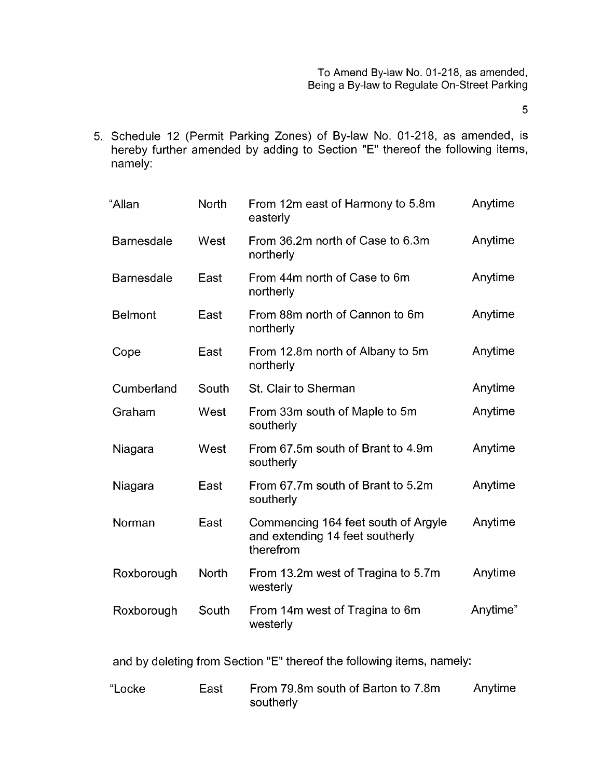*5* 

5. Schedule 12 (Permit Parking Zones) of By-law No. 01-218, as amended, is hereby further amended by adding to Section "E" thereof the following items, namely:

| "Allan            | North        | From 12m east of Harmony to 5.8m<br>easterly                                        | Anytime  |
|-------------------|--------------|-------------------------------------------------------------------------------------|----------|
| <b>Barnesdale</b> | West         | From 36.2m north of Case to 6.3m<br>northerly                                       | Anytime  |
| <b>Barnesdale</b> | East         | From 44m north of Case to 6m<br>northerly                                           | Anytime  |
| <b>Belmont</b>    | East         | From 88m north of Cannon to 6m<br>northerly                                         | Anytime  |
| Cope              | East         | From 12.8m north of Albany to 5m<br>northerly                                       | Anytime  |
| Cumberland        | South        | St. Clair to Sherman                                                                | Anytime  |
| Graham            | West         | From 33m south of Maple to 5m<br>southerly                                          | Anytime  |
| Niagara           | West         | From 67.5m south of Brant to 4.9m<br>southerly                                      | Anytime  |
| Niagara           | East         | From 67.7m south of Brant to 5.2m<br>southerly                                      | Anytime  |
| Norman            | East         | Commencing 164 feet south of Argyle<br>and extending 14 feet southerly<br>therefrom | Anytime  |
| Roxborough        | <b>North</b> | From 13.2m west of Tragina to 5.7m<br>westerly                                      | Anytime  |
| Roxborough        | South        | From 14m west of Tragina to 6m<br>westerly                                          | Anytime" |

and by deleting from Section "E" thereof the following items, namely:

| "Locke | East | From 79.8m south of Barton to 7.8m | Anytime |
|--------|------|------------------------------------|---------|
|        |      | southerly                          |         |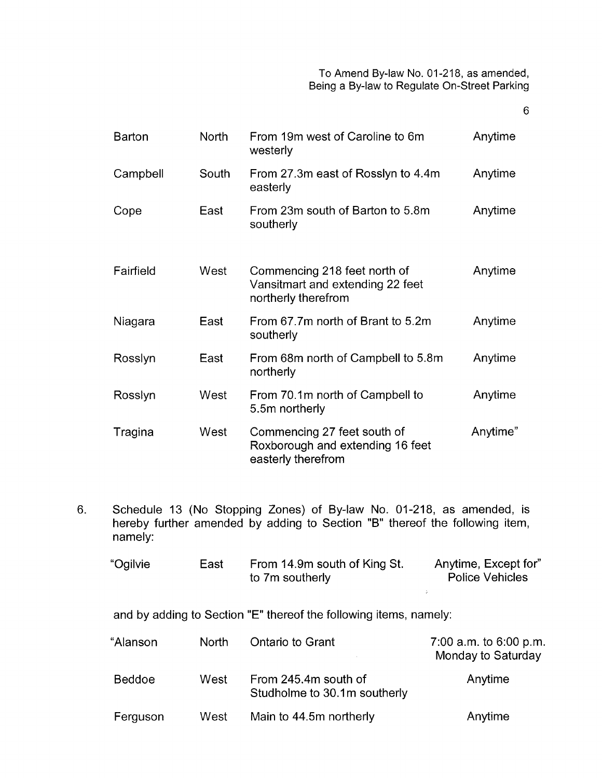6

| <b>Barton</b> | <b>North</b> | From 19m west of Caroline to 6m<br>westerly                                             | Anytime  |
|---------------|--------------|-----------------------------------------------------------------------------------------|----------|
| Campbell      | South        | From 27.3m east of Rosslyn to 4.4m<br>easterly                                          | Anytime  |
| Cope          | East         | From 23m south of Barton to 5.8m<br>southerly                                           | Anytime  |
| Fairfield     | West         | Commencing 218 feet north of<br>Vansitmart and extending 22 feet<br>northerly therefrom | Anytime  |
| Niagara       | East         | From 67.7m north of Brant to 5.2m<br>southerly                                          | Anytime  |
| Rosslyn       | East         | From 68m north of Campbell to 5.8m<br>northerly                                         | Anytime  |
| Rosslyn       | West         | From 70.1m north of Campbell to<br>5.5m northerly                                       | Anytime  |
| Tragina       | West         | Commencing 27 feet south of<br>Roxborough and extending 16 feet<br>easterly therefrom   | Anytime" |

6. Schedule 13 (No Stopping Zones) of By-law No. 01-218, as amended, is hereby further amended by adding to Section "B" thereof the following item, namely:

| "Ogilvie | East | From 14.9m south of King St.<br>to 7m southerly | Anytime, Except for"<br><b>Police Vehicles</b> |
|----------|------|-------------------------------------------------|------------------------------------------------|
|          |      |                                                 |                                                |

and by adding to Section "E" thereof the following items, namely:

| "Alanson      | North | Ontario to Grant                                     | 7:00 a.m. to 6:00 p.m.<br>Monday to Saturday |
|---------------|-------|------------------------------------------------------|----------------------------------------------|
| <b>Beddoe</b> | West  | From 245.4m south of<br>Studholme to 30.1m southerly | Anytime                                      |
| Ferguson      | West  | Main to 44.5m northerly                              | Anytime                                      |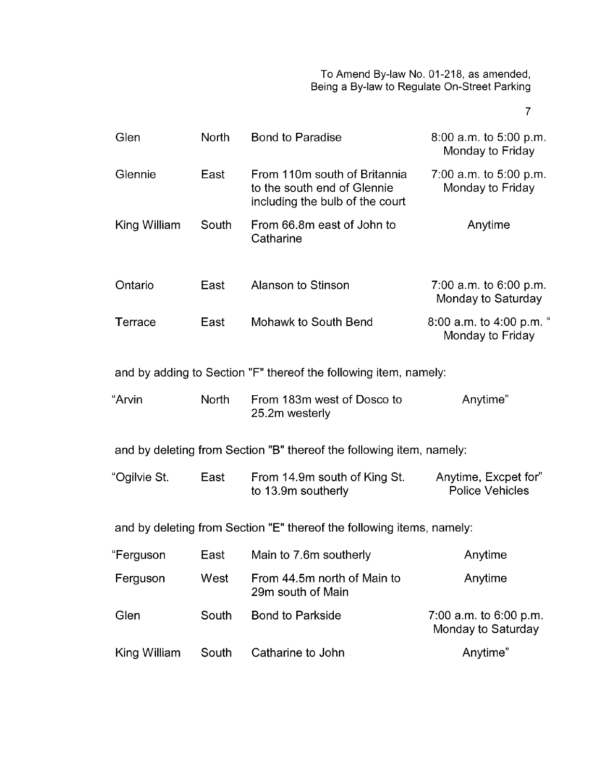7

| Glen         | <b>North</b> | <b>Bond to Paradise</b>                                                                        | $8:00$ a.m. to $5:00$ p.m.<br>Monday to Friday |
|--------------|--------------|------------------------------------------------------------------------------------------------|------------------------------------------------|
| Glennie      | East         | From 110m south of Britannia<br>to the south end of Glennie<br>including the bulb of the court | 7:00 a.m. to $5:00$ p.m.<br>Monday to Friday   |
| King William | South        | From 66.8m east of John to<br>Catharine                                                        | Anytime                                        |
| Ontario      | East         | Alanson to Stinson                                                                             | 7:00 a.m. to $6:00$ p.m.<br>Monday to Saturday |
| Terrace      | East         | Mohawk to South Bend                                                                           | 8:00 a.m. to 4:00 p.m. "<br>Monday to Friday   |
|              |              | and by adding to Section "F" thereof the following item, namely:                               |                                                |
| "Arvin       | <b>North</b> | From 183m west of Dosco to<br>25.2m westerly                                                   | Anytime"                                       |
|              |              | and by deleting from Section "B" thereof the following item, namely:                           |                                                |
| "Ogilvie St. | East         | From 14.9m south of King St.<br>to 13.9m southerly                                             | Anytime, Excpet for"<br><b>Police Vehicles</b> |
|              |              | and by deleting from Section "E" thereof the following items, namely:                          |                                                |
| "Ferguson    | East         | Main to 7.6m southerly                                                                         | Anytime                                        |
| Ferguson     | West         | From 44.5m north of Main to<br>Anytime<br>29m south of Main                                    |                                                |
| Glen         | South        | <b>Bond to Parkside</b><br>7:00 a.m. to $6:00$ p.m.<br>Monday to Saturday                      |                                                |
| King William | South        | Catharine to John<br>Anytime"                                                                  |                                                |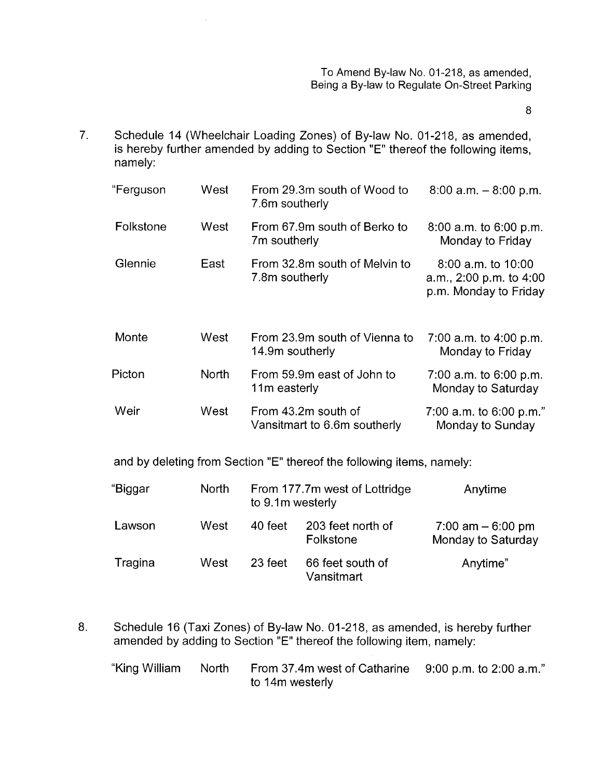8

Schedule 14 (Wheelchair Loading Zones) of By-law No. 01-218, as amended, is hereby further amended by adding to Section "E" thereof the following items, 7. namely:

 $\hat{\mathcal{A}}$ 

| "Ferguson | West         | From 29.3m south of Wood to<br>7.6m southerly                         | $8:00$ a.m. $-8:00$ p.m.                                                   |
|-----------|--------------|-----------------------------------------------------------------------|----------------------------------------------------------------------------|
| Folkstone | West         | From 67.9m south of Berko to<br>7m southerly                          | $8:00$ a.m. to $6:00$ p.m.<br>Monday to Friday                             |
| Glennie   | East         | From 32.8m south of Melvin to<br>7.8m southerly                       | $8:00$ a.m. to $10:00$<br>a.m., 2:00 p.m. to 4:00<br>p.m. Monday to Friday |
| Monte     | West         | From 23.9m south of Vienna to<br>14.9m southerly                      | 7:00 a.m. to 4:00 p.m.<br>Monday to Friday                                 |
| Picton    | <b>North</b> | From 59.9m east of John to<br>11m easterly                            | 7:00 a.m. to 6:00 p.m.<br>Monday to Saturday                               |
| Weir      | West         | From 43.2m south of<br>Vansitmart to 6.6m southerly                   | 7:00 a.m. to $6:00$ p.m."<br>Monday to Sunday                              |
|           |              | and by deleting from Section "E" thereof the following items, namely: |                                                                            |
| "Biggar   | <b>North</b> | From 177.7m west of Lottridge<br>to 0.1m wortorly                     | Anytime                                                                    |

|         |      | to 9.1m westerly |                                |                                            |
|---------|------|------------------|--------------------------------|--------------------------------------------|
| Lawson  | West | 40 feet          | 203 feet north of<br>Folkstone | $7:00$ am $-6:00$ pm<br>Monday to Saturday |
| Tragina | West | 23 feet          | 66 feet south of<br>Vansitmart | Anytime"                                   |

8. Schedule 16 (Taxi Zones) of By-law No. 01-218, as amended, is hereby further amended by adding to Section "E" thereof the following item, namely:

| "King William | North From 37.4m west of Catharine 9:00 p.m. to 2:00 a.m." |  |
|---------------|------------------------------------------------------------|--|
|               | to 14m westerly                                            |  |